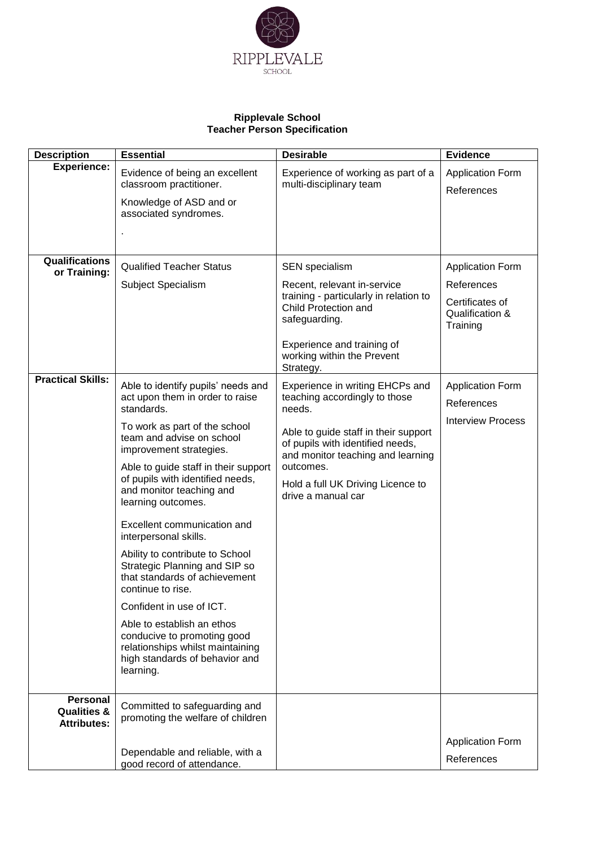

## **Ripplevale School Teacher Person Specification**

| <b>Description</b>                                              | <b>Essential</b>                                                                                                                                                                                                                                                                                                                                                                                                                                                                                                                                                                                                                                                         | <b>Desirable</b>                                                                                                                                                                                                                                                    | <b>Evidence</b>                                                                         |
|-----------------------------------------------------------------|--------------------------------------------------------------------------------------------------------------------------------------------------------------------------------------------------------------------------------------------------------------------------------------------------------------------------------------------------------------------------------------------------------------------------------------------------------------------------------------------------------------------------------------------------------------------------------------------------------------------------------------------------------------------------|---------------------------------------------------------------------------------------------------------------------------------------------------------------------------------------------------------------------------------------------------------------------|-----------------------------------------------------------------------------------------|
| <b>Experience:</b>                                              | Evidence of being an excellent<br>classroom practitioner.<br>Knowledge of ASD and or<br>associated syndromes.                                                                                                                                                                                                                                                                                                                                                                                                                                                                                                                                                            | Experience of working as part of a<br>multi-disciplinary team                                                                                                                                                                                                       | <b>Application Form</b><br>References                                                   |
| Qualifications<br>or Training:                                  | <b>Qualified Teacher Status</b><br>Subject Specialism                                                                                                                                                                                                                                                                                                                                                                                                                                                                                                                                                                                                                    | <b>SEN</b> specialism<br>Recent, relevant in-service<br>training - particularly in relation to<br>Child Protection and<br>safeguarding.<br>Experience and training of<br>working within the Prevent<br>Strategy.                                                    | <b>Application Form</b><br>References<br>Certificates of<br>Qualification &<br>Training |
| <b>Practical Skills:</b>                                        | Able to identify pupils' needs and<br>act upon them in order to raise<br>standards.<br>To work as part of the school<br>team and advise on school<br>improvement strategies.<br>Able to guide staff in their support<br>of pupils with identified needs,<br>and monitor teaching and<br>learning outcomes.<br>Excellent communication and<br>interpersonal skills.<br>Ability to contribute to School<br>Strategic Planning and SIP so<br>that standards of achievement<br>continue to rise.<br>Confident in use of ICT.<br>Able to establish an ethos<br>conducive to promoting good<br>relationships whilst maintaining<br>high standards of behavior and<br>learning. | Experience in writing EHCPs and<br>teaching accordingly to those<br>needs.<br>Able to guide staff in their support<br>of pupils with identified needs,<br>and monitor teaching and learning<br>outcomes.<br>Hold a full UK Driving Licence to<br>drive a manual car | <b>Application Form</b><br>References<br><b>Interview Process</b>                       |
| <b>Personal</b><br><b>Qualities &amp;</b><br><b>Attributes:</b> | Committed to safeguarding and<br>promoting the welfare of children<br>Dependable and reliable, with a<br>good record of attendance.                                                                                                                                                                                                                                                                                                                                                                                                                                                                                                                                      |                                                                                                                                                                                                                                                                     | <b>Application Form</b><br>References                                                   |